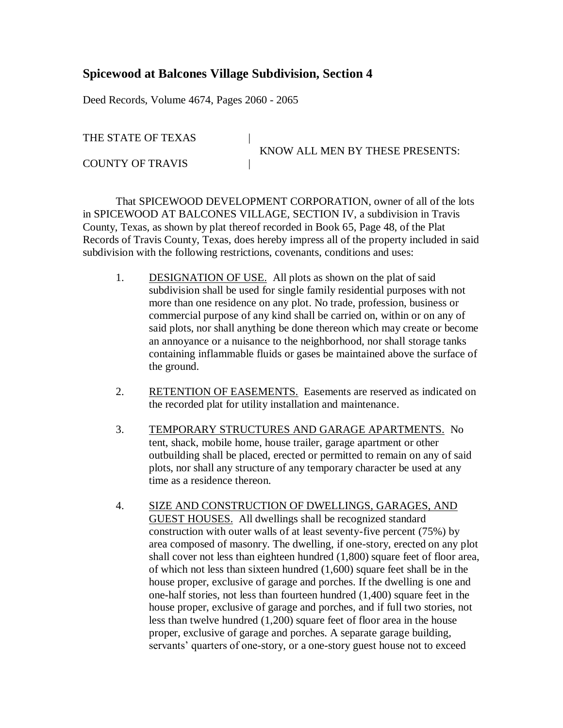## **Spicewood at Balcones Village Subdivision, Section 4**

Deed Records, Volume 4674, Pages 2060 - 2065

THE STATE OF TEXAS |

COUNTY OF TRAVIS

KNOW ALL MEN BY THESE PRESENTS:

That SPICEWOOD DEVELOPMENT CORPORATION, owner of all of the lots in SPICEWOOD AT BALCONES VILLAGE, SECTION IV, a subdivision in Travis County, Texas, as shown by plat thereof recorded in Book 65, Page 48, of the Plat Records of Travis County, Texas, does hereby impress all of the property included in said subdivision with the following restrictions, covenants, conditions and uses:

- 1. DESIGNATION OF USE. All plots as shown on the plat of said subdivision shall be used for single family residential purposes with not more than one residence on any plot. No trade, profession, business or commercial purpose of any kind shall be carried on, within or on any of said plots, nor shall anything be done thereon which may create or become an annoyance or a nuisance to the neighborhood, nor shall storage tanks containing inflammable fluids or gases be maintained above the surface of the ground.
- 2. RETENTION OF EASEMENTS. Easements are reserved as indicated on the recorded plat for utility installation and maintenance.
- 3. TEMPORARY STRUCTURES AND GARAGE APARTMENTS. No tent, shack, mobile home, house trailer, garage apartment or other outbuilding shall be placed, erected or permitted to remain on any of said plots, nor shall any structure of any temporary character be used at any time as a residence thereon.
- 4. SIZE AND CONSTRUCTION OF DWELLINGS, GARAGES, AND GUEST HOUSES. All dwellings shall be recognized standard construction with outer walls of at least seventy-five percent (75%) by area composed of masonry. The dwelling, if one-story, erected on any plot shall cover not less than eighteen hundred (1,800) square feet of floor area, of which not less than sixteen hundred (1,600) square feet shall be in the house proper, exclusive of garage and porches. If the dwelling is one and one-half stories, not less than fourteen hundred (1,400) square feet in the house proper, exclusive of garage and porches, and if full two stories, not less than twelve hundred (1,200) square feet of floor area in the house proper, exclusive of garage and porches. A separate garage building, servants' quarters of one-story, or a one-story guest house not to exceed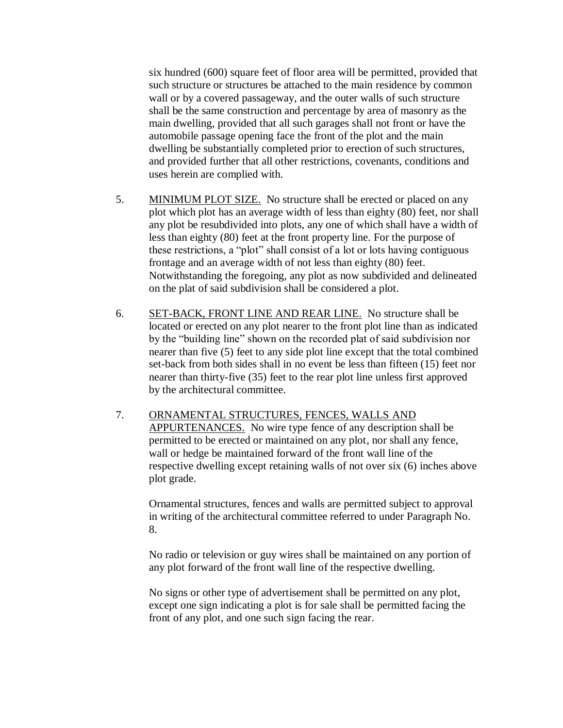six hundred (600) square feet of floor area will be permitted, provided that such structure or structures be attached to the main residence by common wall or by a covered passageway, and the outer walls of such structure shall be the same construction and percentage by area of masonry as the main dwelling, provided that all such garages shall not front or have the automobile passage opening face the front of the plot and the main dwelling be substantially completed prior to erection of such structures, and provided further that all other restrictions, covenants, conditions and uses herein are complied with.

- 5. MINIMUM PLOT SIZE. No structure shall be erected or placed on any plot which plot has an average width of less than eighty (80) feet, nor shall any plot be resubdivided into plots, any one of which shall have a width of less than eighty (80) feet at the front property line. For the purpose of these restrictions, a "plot" shall consist of a lot or lots having contiguous frontage and an average width of not less than eighty (80) feet. Notwithstanding the foregoing, any plot as now subdivided and delineated on the plat of said subdivision shall be considered a plot.
- 6. SET-BACK, FRONT LINE AND REAR LINE. No structure shall be located or erected on any plot nearer to the front plot line than as indicated by the "building line" shown on the recorded plat of said subdivision nor nearer than five (5) feet to any side plot line except that the total combined set-back from both sides shall in no event be less than fifteen (15) feet nor nearer than thirty-five (35) feet to the rear plot line unless first approved by the architectural committee.
- 7. ORNAMENTAL STRUCTURES, FENCES, WALLS AND APPURTENANCES. No wire type fence of any description shall be permitted to be erected or maintained on any plot, nor shall any fence, wall or hedge be maintained forward of the front wall line of the respective dwelling except retaining walls of not over six (6) inches above plot grade.

Ornamental structures, fences and walls are permitted subject to approval in writing of the architectural committee referred to under Paragraph No. 8.

No radio or television or guy wires shall be maintained on any portion of any plot forward of the front wall line of the respective dwelling.

No signs or other type of advertisement shall be permitted on any plot, except one sign indicating a plot is for sale shall be permitted facing the front of any plot, and one such sign facing the rear.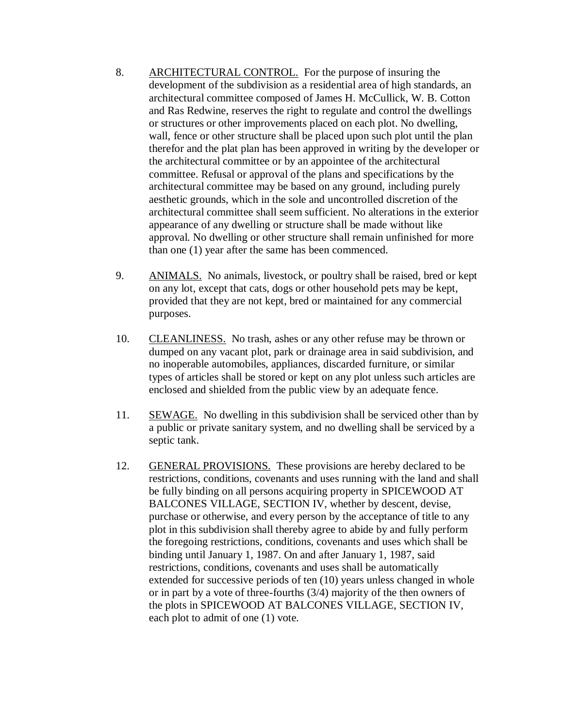- 8. ARCHITECTURAL CONTROL. For the purpose of insuring the development of the subdivision as a residential area of high standards, an architectural committee composed of James H. McCullick, W. B. Cotton and Ras Redwine, reserves the right to regulate and control the dwellings or structures or other improvements placed on each plot. No dwelling, wall, fence or other structure shall be placed upon such plot until the plan therefor and the plat plan has been approved in writing by the developer or the architectural committee or by an appointee of the architectural committee. Refusal or approval of the plans and specifications by the architectural committee may be based on any ground, including purely aesthetic grounds, which in the sole and uncontrolled discretion of the architectural committee shall seem sufficient. No alterations in the exterior appearance of any dwelling or structure shall be made without like approval. No dwelling or other structure shall remain unfinished for more than one (1) year after the same has been commenced.
- 9. ANIMALS. No animals, livestock, or poultry shall be raised, bred or kept on any lot, except that cats, dogs or other household pets may be kept, provided that they are not kept, bred or maintained for any commercial purposes.
- 10. CLEANLINESS. No trash, ashes or any other refuse may be thrown or dumped on any vacant plot, park or drainage area in said subdivision, and no inoperable automobiles, appliances, discarded furniture, or similar types of articles shall be stored or kept on any plot unless such articles are enclosed and shielded from the public view by an adequate fence.
- 11. SEWAGE. No dwelling in this subdivision shall be serviced other than by a public or private sanitary system, and no dwelling shall be serviced by a septic tank.
- 12. GENERAL PROVISIONS. These provisions are hereby declared to be restrictions, conditions, covenants and uses running with the land and shall be fully binding on all persons acquiring property in SPICEWOOD AT BALCONES VILLAGE, SECTION IV, whether by descent, devise, purchase or otherwise, and every person by the acceptance of title to any plot in this subdivision shall thereby agree to abide by and fully perform the foregoing restrictions, conditions, covenants and uses which shall be binding until January 1, 1987. On and after January 1, 1987, said restrictions, conditions, covenants and uses shall be automatically extended for successive periods of ten (10) years unless changed in whole or in part by a vote of three-fourths (3/4) majority of the then owners of the plots in SPICEWOOD AT BALCONES VILLAGE, SECTION IV, each plot to admit of one (1) vote.